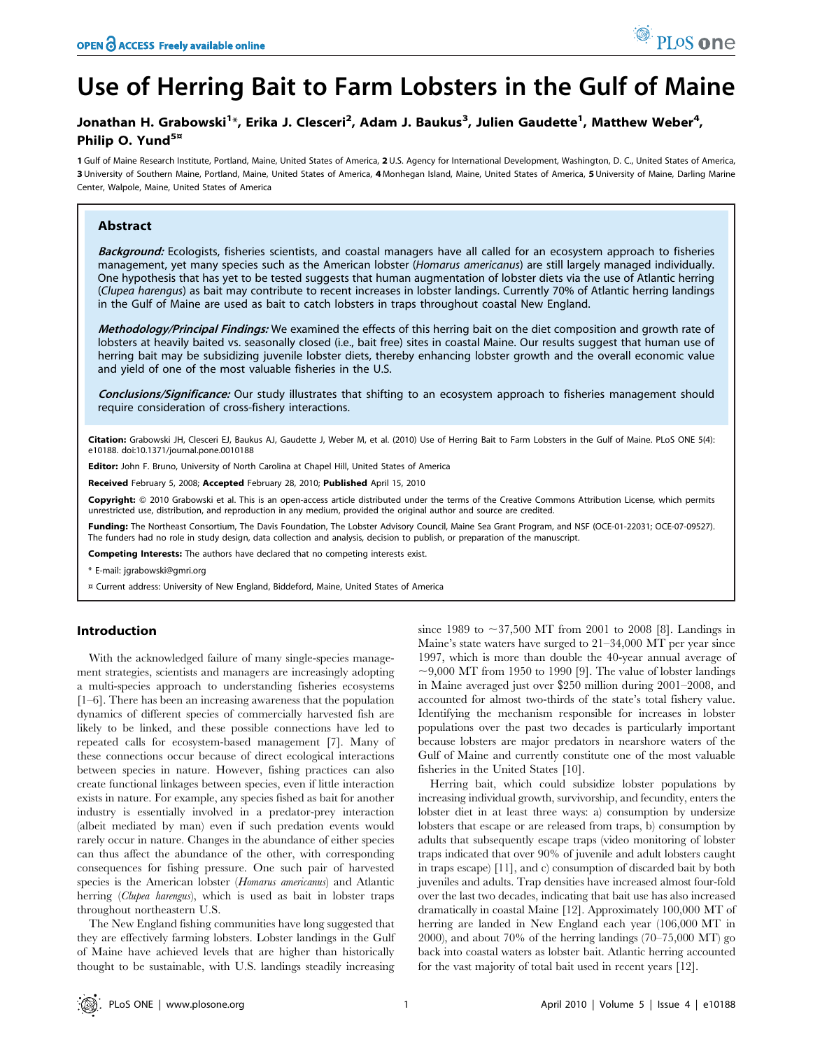# Use of Herring Bait to Farm Lobsters in the Gulf of Maine

### Jonathan H. Grabowski<sup>1</sup>\*, Erika J. Clesceri<sup>2</sup>, Adam J. Baukus<sup>3</sup>, Julien Gaudette<sup>1</sup>, Matthew Weber<sup>4</sup>, Philip O. Yund<sup>5¤</sup>

1 Gulf of Maine Research Institute, Portland, Maine, United States of America, 2 U.S. Agency for International Development, Washington, D. C., United States of America, 3 University of Southern Maine, Portland, Maine, United States of America, 4 Monhegan Island, Maine, United States of America, 5 University of Maine, Darling Marine Center, Walpole, Maine, United States of America

#### Abstract

Background: Ecologists, fisheries scientists, and coastal managers have all called for an ecosystem approach to fisheries management, yet many species such as the American lobster (Homarus americanus) are still largely managed individually. One hypothesis that has yet to be tested suggests that human augmentation of lobster diets via the use of Atlantic herring (Clupea harengus) as bait may contribute to recent increases in lobster landings. Currently 70% of Atlantic herring landings in the Gulf of Maine are used as bait to catch lobsters in traps throughout coastal New England.

Methodology/Principal Findings: We examined the effects of this herring bait on the diet composition and growth rate of lobsters at heavily baited vs. seasonally closed (i.e., bait free) sites in coastal Maine. Our results suggest that human use of herring bait may be subsidizing juvenile lobster diets, thereby enhancing lobster growth and the overall economic value and yield of one of the most valuable fisheries in the U.S.

Conclusions/Significance: Our study illustrates that shifting to an ecosystem approach to fisheries management should require consideration of cross-fishery interactions.

Citation: Grabowski JH, Clesceri EJ, Baukus AJ, Gaudette J, Weber M, et al. (2010) Use of Herring Bait to Farm Lobsters in the Gulf of Maine. PLoS ONE 5(4): e10188. doi:10.1371/journal.pone.0010188

Editor: John F. Bruno, University of North Carolina at Chapel Hill, United States of America

Received February 5, 2008; Accepted February 28, 2010; Published April 15, 2010

Copyright: © 2010 Grabowski et al. This is an open-access article distributed under the terms of the Creative Commons Attribution License, which permits unrestricted use, distribution, and reproduction in any medium, provided the original author and source are credited.

Funding: The Northeast Consortium, The Davis Foundation, The Lobster Advisory Council, Maine Sea Grant Program, and NSF (OCE-01-22031; OCE-07-09527). The funders had no role in study design, data collection and analysis, decision to publish, or preparation of the manuscript.

Competing Interests: The authors have declared that no competing interests exist.

\* E-mail: jgrabowski@gmri.org

¤ Current address: University of New England, Biddeford, Maine, United States of America

#### Introduction

With the acknowledged failure of many single-species management strategies, scientists and managers are increasingly adopting a multi-species approach to understanding fisheries ecosystems [1–6]. There has been an increasing awareness that the population dynamics of different species of commercially harvested fish are likely to be linked, and these possible connections have led to repeated calls for ecosystem-based management [7]. Many of these connections occur because of direct ecological interactions between species in nature. However, fishing practices can also create functional linkages between species, even if little interaction exists in nature. For example, any species fished as bait for another industry is essentially involved in a predator-prey interaction (albeit mediated by man) even if such predation events would rarely occur in nature. Changes in the abundance of either species can thus affect the abundance of the other, with corresponding consequences for fishing pressure. One such pair of harvested species is the American lobster (Homarus americanus) and Atlantic herring (Clupea harengus), which is used as bait in lobster traps throughout northeastern U.S.

The New England fishing communities have long suggested that they are effectively farming lobsters. Lobster landings in the Gulf of Maine have achieved levels that are higher than historically thought to be sustainable, with U.S. landings steadily increasing

since 1989 to  $\sim$ 37,500 MT from 2001 to 2008 [8]. Landings in Maine's state waters have surged to 21–34,000 MT per year since 1997, which is more than double the 40-year annual average of  $\sim$ 9,000 MT from 1950 to 1990 [9]. The value of lobster landings in Maine averaged just over \$250 million during 2001–2008, and accounted for almost two-thirds of the state's total fishery value. Identifying the mechanism responsible for increases in lobster populations over the past two decades is particularly important because lobsters are major predators in nearshore waters of the Gulf of Maine and currently constitute one of the most valuable fisheries in the United States [10].

Herring bait, which could subsidize lobster populations by increasing individual growth, survivorship, and fecundity, enters the lobster diet in at least three ways: a) consumption by undersize lobsters that escape or are released from traps, b) consumption by adults that subsequently escape traps (video monitoring of lobster traps indicated that over 90% of juvenile and adult lobsters caught in traps escape) [11], and c) consumption of discarded bait by both juveniles and adults. Trap densities have increased almost four-fold over the last two decades, indicating that bait use has also increased dramatically in coastal Maine [12]. Approximately 100,000 MT of herring are landed in New England each year (106,000 MT in 2000), and about 70% of the herring landings (70–75,000 MT) go back into coastal waters as lobster bait. Atlantic herring accounted for the vast majority of total bait used in recent years [12].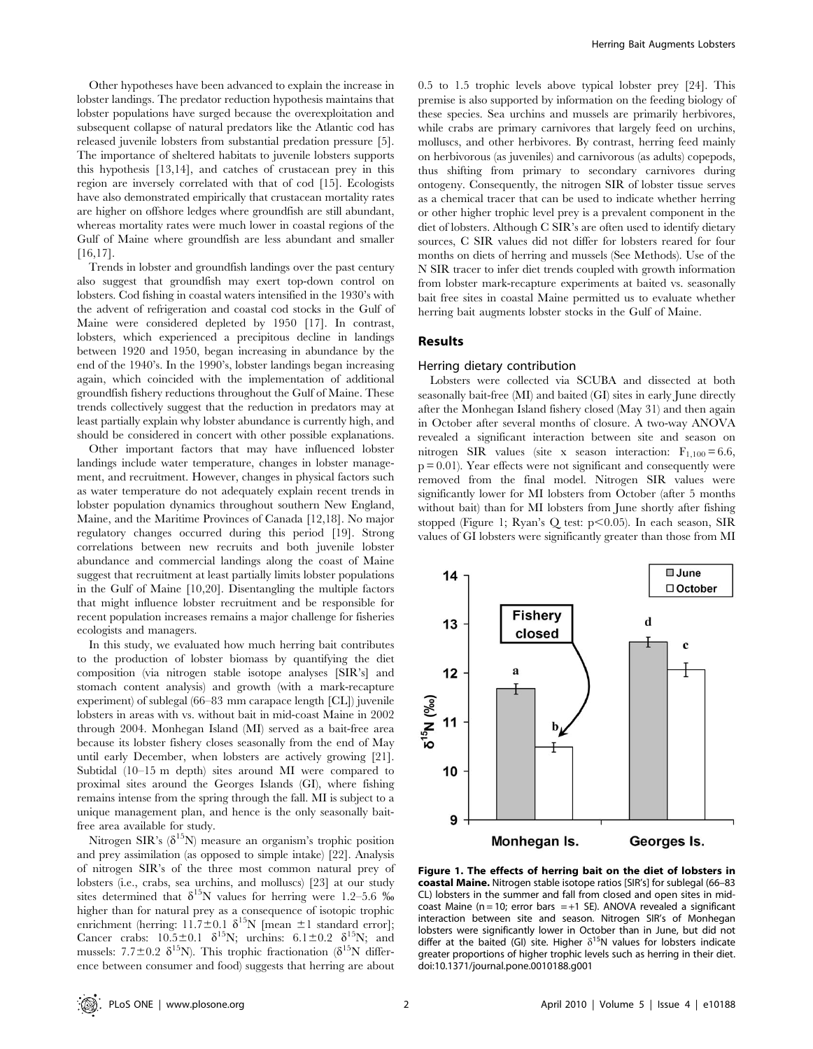Other hypotheses have been advanced to explain the increase in lobster landings. The predator reduction hypothesis maintains that lobster populations have surged because the overexploitation and subsequent collapse of natural predators like the Atlantic cod has released juvenile lobsters from substantial predation pressure [5]. The importance of sheltered habitats to juvenile lobsters supports this hypothesis [13,14], and catches of crustacean prey in this region are inversely correlated with that of cod [15]. Ecologists have also demonstrated empirically that crustacean mortality rates are higher on offshore ledges where groundfish are still abundant, whereas mortality rates were much lower in coastal regions of the Gulf of Maine where groundfish are less abundant and smaller [16,17].

Trends in lobster and groundfish landings over the past century also suggest that groundfish may exert top-down control on lobsters. Cod fishing in coastal waters intensified in the 1930's with the advent of refrigeration and coastal cod stocks in the Gulf of Maine were considered depleted by 1950 [17]. In contrast, lobsters, which experienced a precipitous decline in landings between 1920 and 1950, began increasing in abundance by the end of the 1940's. In the 1990's, lobster landings began increasing again, which coincided with the implementation of additional groundfish fishery reductions throughout the Gulf of Maine. These trends collectively suggest that the reduction in predators may at least partially explain why lobster abundance is currently high, and should be considered in concert with other possible explanations.

Other important factors that may have influenced lobster landings include water temperature, changes in lobster management, and recruitment. However, changes in physical factors such as water temperature do not adequately explain recent trends in lobster population dynamics throughout southern New England, Maine, and the Maritime Provinces of Canada [12,18]. No major regulatory changes occurred during this period [19]. Strong correlations between new recruits and both juvenile lobster abundance and commercial landings along the coast of Maine suggest that recruitment at least partially limits lobster populations in the Gulf of Maine [10,20]. Disentangling the multiple factors that might influence lobster recruitment and be responsible for recent population increases remains a major challenge for fisheries ecologists and managers.

In this study, we evaluated how much herring bait contributes to the production of lobster biomass by quantifying the diet composition (via nitrogen stable isotope analyses [SIR's] and stomach content analysis) and growth (with a mark-recapture experiment) of sublegal (66–83 mm carapace length [CL]) juvenile lobsters in areas with vs. without bait in mid-coast Maine in 2002 through 2004. Monhegan Island (MI) served as a bait-free area because its lobster fishery closes seasonally from the end of May until early December, when lobsters are actively growing [21]. Subtidal (10–15 m depth) sites around MI were compared to proximal sites around the Georges Islands (GI), where fishing remains intense from the spring through the fall. MI is subject to a unique management plan, and hence is the only seasonally baitfree area available for study.

Nitrogen SIR's  $(\delta^{15}N)$  measure an organism's trophic position and prey assimilation (as opposed to simple intake) [22]. Analysis of nitrogen SIR's of the three most common natural prey of lobsters (i.e., crabs, sea urchins, and molluscs) [23] at our study sites determined that  $\delta^{15}N$  values for herring were 1.2–5.6 ‰ higher than for natural prey as a consequence of isotopic trophic enrichment (herring:  $11.7 \pm 0.1$   $\delta^{15}$ N [mean  $\pm 1$  standard error]; Cancer crabs:  $10.5\pm0.1$   $\delta^{15}N$ ; urchins:  $6.1\pm0.2$   $\delta^{15}N$ ; and mussels: 7.7 $\pm$ 0.2  $\delta^{15}$ N). This trophic fractionation ( $\delta^{15}$ N difference between consumer and food) suggests that herring are about

0.5 to 1.5 trophic levels above typical lobster prey [24]. This premise is also supported by information on the feeding biology of these species. Sea urchins and mussels are primarily herbivores, while crabs are primary carnivores that largely feed on urchins, molluscs, and other herbivores. By contrast, herring feed mainly on herbivorous (as juveniles) and carnivorous (as adults) copepods, thus shifting from primary to secondary carnivores during ontogeny. Consequently, the nitrogen SIR of lobster tissue serves as a chemical tracer that can be used to indicate whether herring or other higher trophic level prey is a prevalent component in the diet of lobsters. Although C SIR's are often used to identify dietary sources, C SIR values did not differ for lobsters reared for four months on diets of herring and mussels (See Methods). Use of the N SIR tracer to infer diet trends coupled with growth information from lobster mark-recapture experiments at baited vs. seasonally bait free sites in coastal Maine permitted us to evaluate whether herring bait augments lobster stocks in the Gulf of Maine.

#### Results

#### Herring dietary contribution

Lobsters were collected via SCUBA and dissected at both seasonally bait-free (MI) and baited (GI) sites in early June directly after the Monhegan Island fishery closed (May 31) and then again in October after several months of closure. A two-way ANOVA revealed a significant interaction between site and season on nitrogen SIR values (site x season interaction:  $F_{1,100} = 6.6$ ,  $p = 0.01$ ). Year effects were not significant and consequently were removed from the final model. Nitrogen SIR values were significantly lower for MI lobsters from October (after 5 months without bait) than for MI lobsters from June shortly after fishing stopped (Figure 1; Ryan's Q test:  $p<0.05$ ). In each season, SIR values of GI lobsters were significantly greater than those from MI



Figure 1. The effects of herring bait on the diet of lobsters in coastal Maine. Nitrogen stable isotope ratios [SIR's] for sublegal (66–83 CL) lobsters in the summer and fall from closed and open sites in midcoast Maine ( $n = 10$ ; error bars  $= +1$  SE). ANOVA revealed a significant interaction between site and season. Nitrogen SIR's of Monhegan lobsters were significantly lower in October than in June, but did not differ at the baited (GI) site. Higher  $\delta^{15}$ N values for lobsters indicate greater proportions of higher trophic levels such as herring in their diet. doi:10.1371/journal.pone.0010188.g001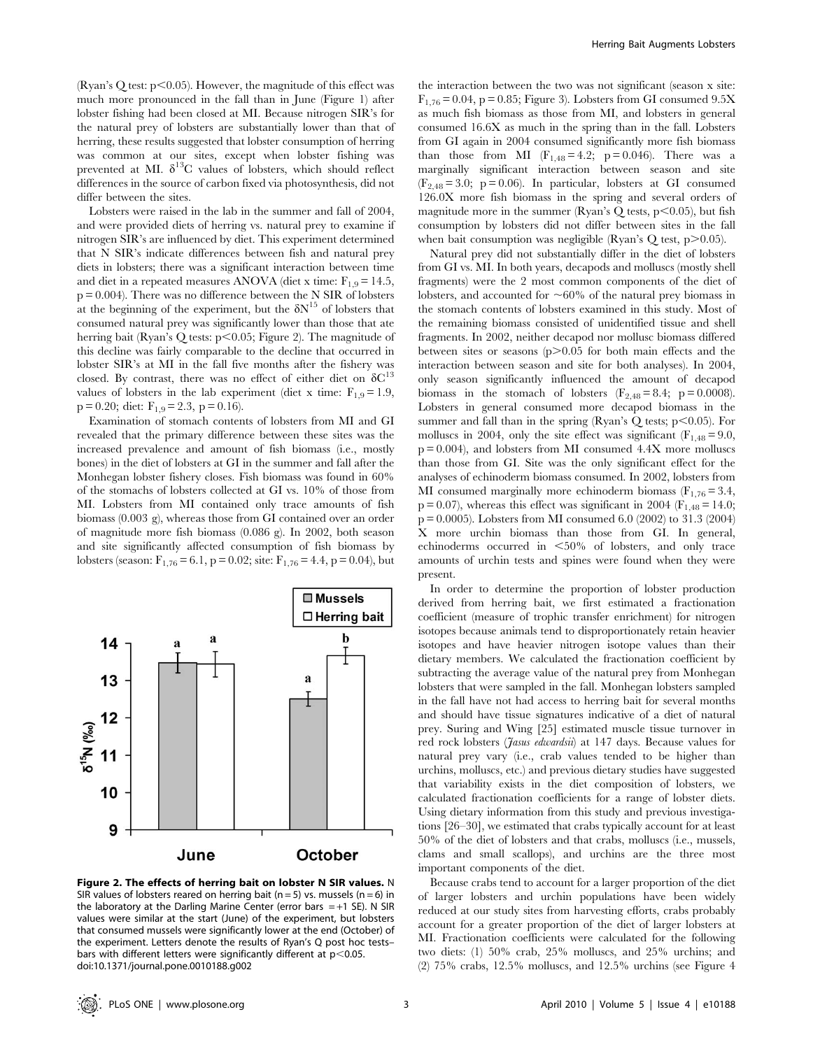(Ryan's Q test:  $p$ <0.05). However, the magnitude of this effect was much more pronounced in the fall than in June (Figure 1) after lobster fishing had been closed at MI. Because nitrogen SIR's for the natural prey of lobsters are substantially lower than that of herring, these results suggested that lobster consumption of herring was common at our sites, except when lobster fishing was prevented at MI.  $\delta^{13}C$  values of lobsters, which should reflect differences in the source of carbon fixed via photosynthesis, did not differ between the sites.

Lobsters were raised in the lab in the summer and fall of 2004, and were provided diets of herring vs. natural prey to examine if nitrogen SIR's are influenced by diet. This experiment determined that N SIR's indicate differences between fish and natural prey diets in lobsters; there was a significant interaction between time and diet in a repeated measures ANOVA (diet x time:  $F_{1,9} = 14.5$ ,  $\rm p$  = 0.004). There was no difference between the N SIR of lobsters at the beginning of the experiment, but the  $\delta N^{15}$  of lobsters that consumed natural prey was significantly lower than those that ate herring bait (Ryan's Q tests:  $p<0.05$ ; Figure 2). The magnitude of this decline was fairly comparable to the decline that occurred in lobster SIR's at MI in the fall five months after the fishery was closed. By contrast, there was no effect of either diet on  $\delta C^{13}$ values of lobsters in the lab experiment (diet x time:  $F_{1,9} = 1.9$ ,  $p = 0.20$ ; diet:  $F_{1,9} = 2.3$ ,  $p = 0.16$ ).

Examination of stomach contents of lobsters from MI and GI revealed that the primary difference between these sites was the increased prevalence and amount of fish biomass (i.e., mostly bones) in the diet of lobsters at GI in the summer and fall after the Monhegan lobster fishery closes. Fish biomass was found in 60% of the stomachs of lobsters collected at GI vs. 10% of those from MI. Lobsters from MI contained only trace amounts of fish biomass (0.003 g), whereas those from GI contained over an order of magnitude more fish biomass (0.086 g). In 2002, both season and site significantly affected consumption of fish biomass by lobsters (season:  $F_{1,76} = 6.1$ , p = 0.02; site:  $F_{1,76} = 4.4$ , p = 0.04), but



Figure 2. The effects of herring bait on lobster N SIR values. N SIR values of lobsters reared on herring bait (n = 5) vs. mussels (n = 6) in the laboratory at the Darling Marine Center (error bars  $=+1$  SE). N SIR values were similar at the start (June) of the experiment, but lobsters that consumed mussels were significantly lower at the end (October) of the experiment. Letters denote the results of Ryan's Q post hoc tests– bars with different letters were significantly different at  $p<0.05$ . doi:10.1371/journal.pone.0010188.g002

the interaction between the two was not significant (season x site:  $F_{1,76} = 0.04$ , p = 0.85; Figure 3). Lobsters from GI consumed 9.5X as much fish biomass as those from MI, and lobsters in general consumed 16.6X as much in the spring than in the fall. Lobsters from GI again in 2004 consumed significantly more fish biomass than those from MI  $(F_{1,48} = 4.2; p = 0.046)$ . There was a marginally significant interaction between season and site  $(F_{2,48} = 3.0; p = 0.06)$ . In particular, lobsters at GI consumed 126.0X more fish biomass in the spring and several orders of magnitude more in the summer (Ryan's Q tests,  $p<0.05$ ), but fish consumption by lobsters did not differ between sites in the fall when bait consumption was negligible (Ryan's Q test,  $p$  $>$ 0.05).

Natural prey did not substantially differ in the diet of lobsters from GI vs. MI. In both years, decapods and molluscs (mostly shell fragments) were the 2 most common components of the diet of lobsters, and accounted for  $\sim60\%$  of the natural prey biomass in the stomach contents of lobsters examined in this study. Most of the remaining biomass consisted of unidentified tissue and shell fragments. In 2002, neither decapod nor mollusc biomass differed between sites or seasons  $(p>0.05$  for both main effects and the interaction between season and site for both analyses). In 2004, only season significantly influenced the amount of decapod biomass in the stomach of lobsters  $(F_{2,48} = 8.4; p = 0.0008)$ . Lobsters in general consumed more decapod biomass in the summer and fall than in the spring (Ryan's Q tests;  $p<0.05$ ). For molluscs in 2004, only the site effect was significant ( $F_{1,48} = 9.0$ ,  $p = 0.004$ ), and lobsters from MI consumed  $4.4X$  more molluscs than those from GI. Site was the only significant effect for the analyses of echinoderm biomass consumed. In 2002, lobsters from MI consumed marginally more echinoderm biomass  $(F_{1,76} = 3.4,$  $p = 0.07$ ), whereas this effect was significant in 2004 (F<sub>1,48</sub> = 14.0; p = 0.0005). Lobsters from MI consumed 6.0 (2002) to 31.3 (2004) X more urchin biomass than those from GI. In general, echinoderms occurred in  $\leq 50\%$  of lobsters, and only trace amounts of urchin tests and spines were found when they were present.

In order to determine the proportion of lobster production derived from herring bait, we first estimated a fractionation coefficient (measure of trophic transfer enrichment) for nitrogen isotopes because animals tend to disproportionately retain heavier isotopes and have heavier nitrogen isotope values than their dietary members. We calculated the fractionation coefficient by subtracting the average value of the natural prey from Monhegan lobsters that were sampled in the fall. Monhegan lobsters sampled in the fall have not had access to herring bait for several months and should have tissue signatures indicative of a diet of natural prey. Suring and Wing [25] estimated muscle tissue turnover in red rock lobsters (*Jasus edwardsii*) at 147 days. Because values for natural prey vary (i.e., crab values tended to be higher than urchins, molluscs, etc.) and previous dietary studies have suggested that variability exists in the diet composition of lobsters, we calculated fractionation coefficients for a range of lobster diets. Using dietary information from this study and previous investigations [26–30], we estimated that crabs typically account for at least 50% of the diet of lobsters and that crabs, molluscs (i.e., mussels, clams and small scallops), and urchins are the three most important components of the diet.

Because crabs tend to account for a larger proportion of the diet of larger lobsters and urchin populations have been widely reduced at our study sites from harvesting efforts, crabs probably account for a greater proportion of the diet of larger lobsters at MI. Fractionation coefficients were calculated for the following two diets: (1) 50% crab, 25% molluscs, and 25% urchins; and (2) 75% crabs, 12.5% molluscs, and 12.5% urchins (see Figure 4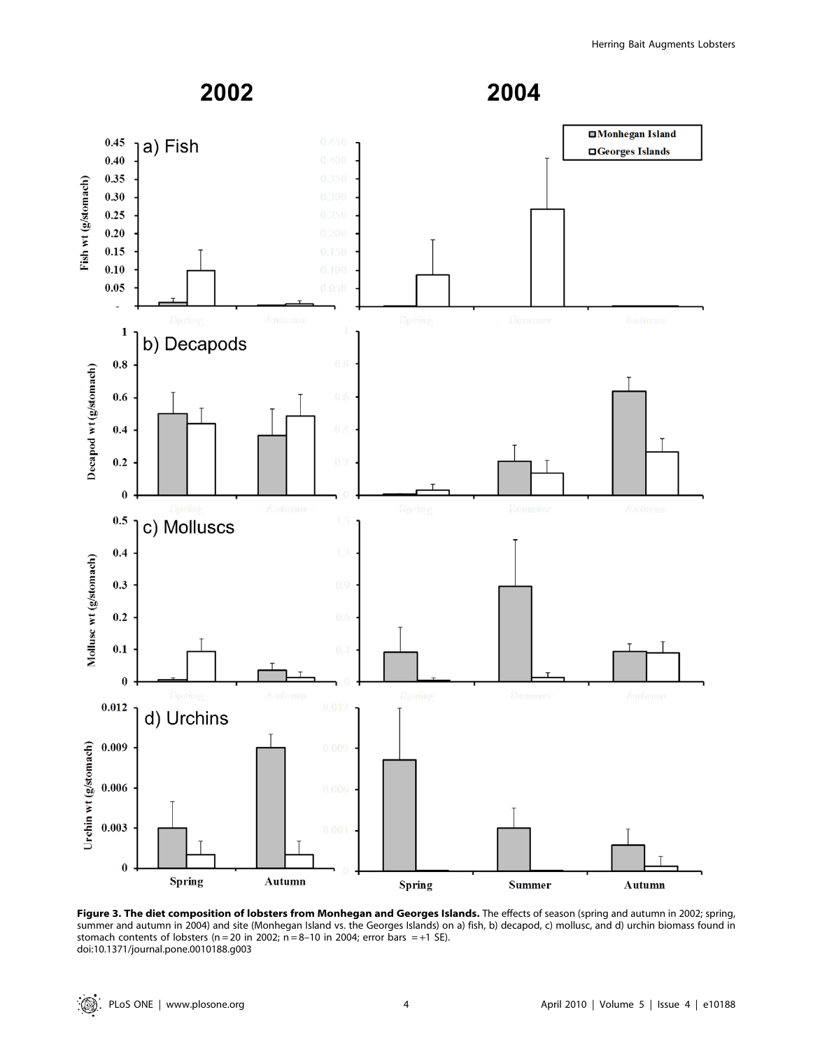

Figure 3. The diet composition of lobsters from Monhegan and Georges Islands. The effects of season (spring and autumn in 2002; spring, summer and autumn in 2004) and site (Monhegan Island vs. the Georges Islands) on a) fish, b) decapod, c) mollusc, and d) urchin biomass found in stomach contents of lobsters ( $n = 20$  in 2002;  $n = 8-10$  in 2004; error bars  $= +1$  SE). doi:10.1371/journal.pone.0010188.g003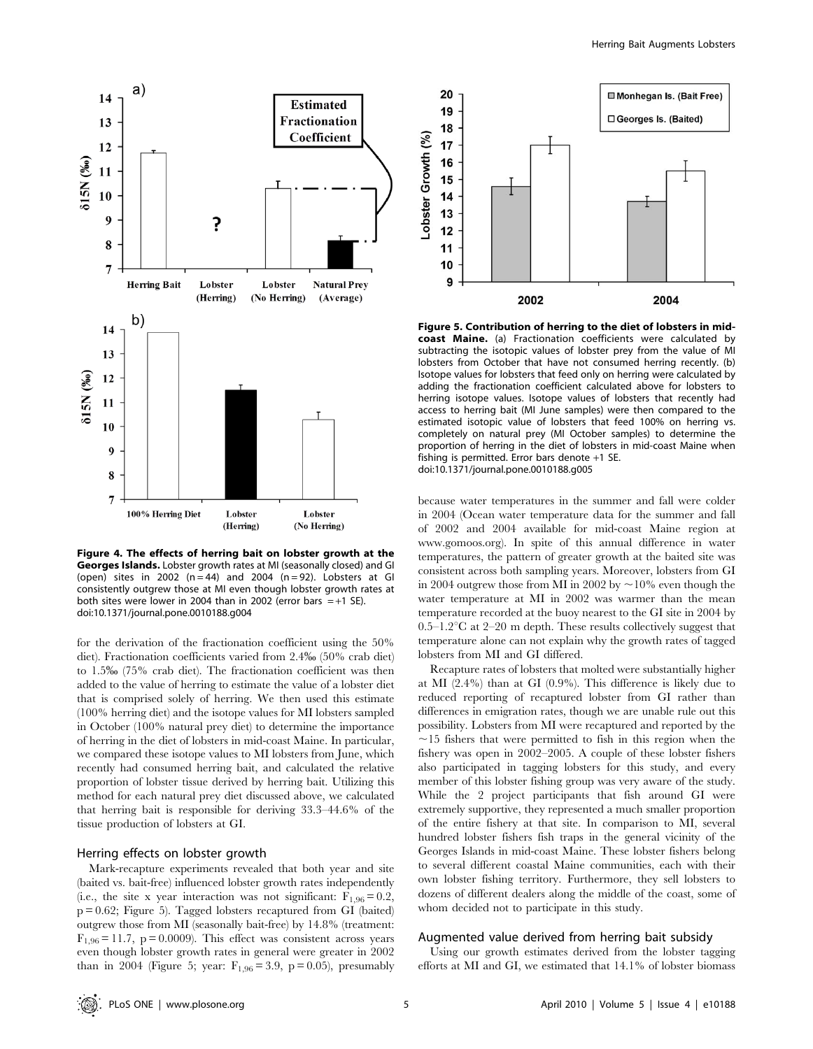

Figure 4. The effects of herring bait on lobster growth at the Georges Islands. Lobster growth rates at MI (seasonally closed) and GI (open) sites in 2002 ( $n=44$ ) and 2004 ( $n=92$ ). Lobsters at GI consistently outgrew those at MI even though lobster growth rates at both sites were lower in 2004 than in 2002 (error bars  $=+1$  SE). doi:10.1371/journal.pone.0010188.g004

for the derivation of the fractionation coefficient using the 50% diet). Fractionation coefficients varied from 2.4% (50% crab diet) to 1.5% (75% crab diet). The fractionation coefficient was then added to the value of herring to estimate the value of a lobster diet that is comprised solely of herring. We then used this estimate (100% herring diet) and the isotope values for MI lobsters sampled in October (100% natural prey diet) to determine the importance of herring in the diet of lobsters in mid-coast Maine. In particular, we compared these isotope values to MI lobsters from June, which recently had consumed herring bait, and calculated the relative proportion of lobster tissue derived by herring bait. Utilizing this method for each natural prey diet discussed above, we calculated that herring bait is responsible for deriving 33.3–44.6% of the tissue production of lobsters at GI.

#### Herring effects on lobster growth

Mark-recapture experiments revealed that both year and site (baited vs. bait-free) influenced lobster growth rates independently (i.e., the site x year interaction was not significant:  $F_{1,96} = 0.2$ , p = 0.62; Figure 5). Tagged lobsters recaptured from GI (baited) outgrew those from MI (seasonally bait-free) by 14.8% (treatment:  $F_{1,96} = 11.7$ , p = 0.0009). This effect was consistent across years even though lobster growth rates in general were greater in 2002 than in 2004 (Figure 5; year:  $F_{1,96} = 3.9$ , p = 0.05), presumably



Figure 5. Contribution of herring to the diet of lobsters in midcoast Maine. (a) Fractionation coefficients were calculated by subtracting the isotopic values of lobster prey from the value of MI lobsters from October that have not consumed herring recently. (b) Isotope values for lobsters that feed only on herring were calculated by adding the fractionation coefficient calculated above for lobsters to herring isotope values. Isotope values of lobsters that recently had access to herring bait (MI June samples) were then compared to the estimated isotopic value of lobsters that feed 100% on herring vs. completely on natural prey (MI October samples) to determine the proportion of herring in the diet of lobsters in mid-coast Maine when fishing is permitted. Error bars denote +1 SE. doi:10.1371/journal.pone.0010188.g005

because water temperatures in the summer and fall were colder in 2004 (Ocean water temperature data for the summer and fall of 2002 and 2004 available for mid-coast Maine region at www.gomoos.org). In spite of this annual difference in water temperatures, the pattern of greater growth at the baited site was consistent across both sampling years. Moreover, lobsters from GI in 2004 outgrew those from MI in 2002 by  $\sim$  10% even though the water temperature at MI in 2002 was warmer than the mean temperature recorded at the buoy nearest to the GI site in 2004 by  $0.5-1.2$ <sup>o</sup>C at  $2-20$  m depth. These results collectively suggest that temperature alone can not explain why the growth rates of tagged lobsters from MI and GI differed.

Recapture rates of lobsters that molted were substantially higher at MI (2.4%) than at GI (0.9%). This difference is likely due to reduced reporting of recaptured lobster from GI rather than differences in emigration rates, though we are unable rule out this possibility. Lobsters from MI were recaptured and reported by the  $\sim$ 15 fishers that were permitted to fish in this region when the fishery was open in 2002–2005. A couple of these lobster fishers also participated in tagging lobsters for this study, and every member of this lobster fishing group was very aware of the study. While the 2 project participants that fish around GI were extremely supportive, they represented a much smaller proportion of the entire fishery at that site. In comparison to MI, several hundred lobster fishers fish traps in the general vicinity of the Georges Islands in mid-coast Maine. These lobster fishers belong to several different coastal Maine communities, each with their own lobster fishing territory. Furthermore, they sell lobsters to dozens of different dealers along the middle of the coast, some of whom decided not to participate in this study.

#### Augmented value derived from herring bait subsidy

Using our growth estimates derived from the lobster tagging efforts at MI and GI, we estimated that 14.1% of lobster biomass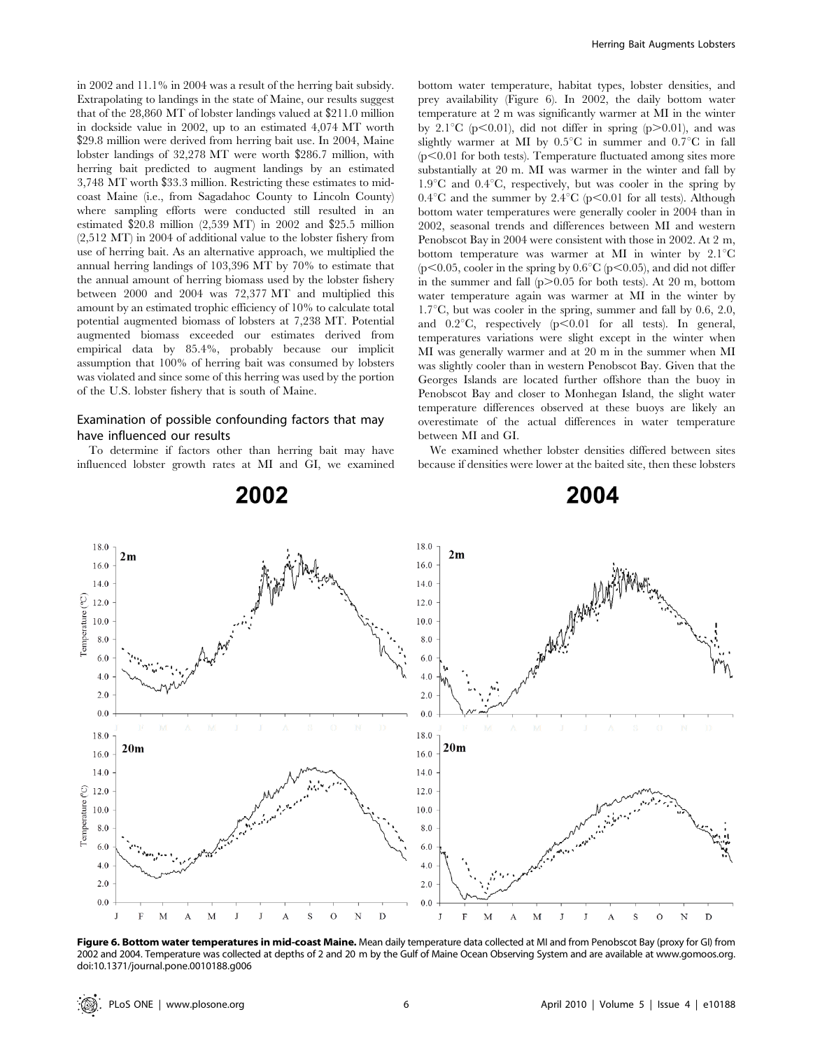in 2002 and 11.1% in 2004 was a result of the herring bait subsidy. Extrapolating to landings in the state of Maine, our results suggest that of the 28,860 MT of lobster landings valued at \$211.0 million in dockside value in 2002, up to an estimated 4,074 MT worth \$29.8 million were derived from herring bait use. In 2004, Maine lobster landings of 32,278 MT were worth \$286.7 million, with herring bait predicted to augment landings by an estimated 3,748 MT worth \$33.3 million. Restricting these estimates to midcoast Maine (i.e., from Sagadahoc County to Lincoln County) where sampling efforts were conducted still resulted in an estimated \$20.8 million (2,539 MT) in 2002 and \$25.5 million (2,512 MT) in 2004 of additional value to the lobster fishery from use of herring bait. As an alternative approach, we multiplied the annual herring landings of 103,396 MT by 70% to estimate that the annual amount of herring biomass used by the lobster fishery between 2000 and 2004 was 72,377 MT and multiplied this amount by an estimated trophic efficiency of 10% to calculate total potential augmented biomass of lobsters at 7,238 MT. Potential augmented biomass exceeded our estimates derived from empirical data by 85.4%, probably because our implicit assumption that 100% of herring bait was consumed by lobsters was violated and since some of this herring was used by the portion of the U.S. lobster fishery that is south of Maine.

#### Examination of possible confounding factors that may have influenced our results

To determine if factors other than herring bait may have influenced lobster growth rates at MI and GI, we examined

2002

bottom water temperature, habitat types, lobster densities, and prey availability (Figure 6). In 2002, the daily bottom water temperature at 2 m was significantly warmer at MI in the winter by 2.1<sup>o</sup>C (p $\leq$ 0.01), did not differ in spring (p $\geq$ 0.01), and was slightly warmer at MI by  $0.5^{\circ}$ C in summer and  $0.7^{\circ}$ C in fall  $(p<0.01$  for both tests). Temperature fluctuated among sites more substantially at 20 m. MI was warmer in the winter and fall by  $1.9^{\circ}$ C and  $0.4^{\circ}$ C, respectively, but was cooler in the spring by  $0.4^{\circ}$ C and the summer by  $2.4^{\circ}$ C (p $\leq 0.01$  for all tests). Although bottom water temperatures were generally cooler in 2004 than in 2002, seasonal trends and differences between MI and western Penobscot Bay in 2004 were consistent with those in 2002. At 2 m, bottom temperature was warmer at MI in winter by  $2.1^{\circ}$ C ( $p<0.05$ , cooler in the spring by  $0.6^{\circ}C$  ( $p<0.05$ ), and did not differ in the summer and fall  $(p>0.05$  for both tests). At 20 m, bottom water temperature again was warmer at MI in the winter by 1.7 $\mathrm{C}$ , but was cooler in the spring, summer and fall by 0.6, 2.0, and  $0.2^{\circ}\text{C}$ , respectively (p $\leq 0.01$  for all tests). In general, temperatures variations were slight except in the winter when MI was generally warmer and at 20 m in the summer when MI was slightly cooler than in western Penobscot Bay. Given that the Georges Islands are located further offshore than the buoy in Penobscot Bay and closer to Monhegan Island, the slight water temperature differences observed at these buoys are likely an overestimate of the actual differences in water temperature between MI and GI.

We examined whether lobster densities differed between sites because if densities were lower at the baited site, then these lobsters

## 2004



Figure 6. Bottom water temperatures in mid-coast Maine. Mean daily temperature data collected at MI and from Penobscot Bay (proxy for GI) from 2002 and 2004. Temperature was collected at depths of 2 and 20 m by the Gulf of Maine Ocean Observing System and are available at www.gomoos.org. doi:10.1371/journal.pone.0010188.g006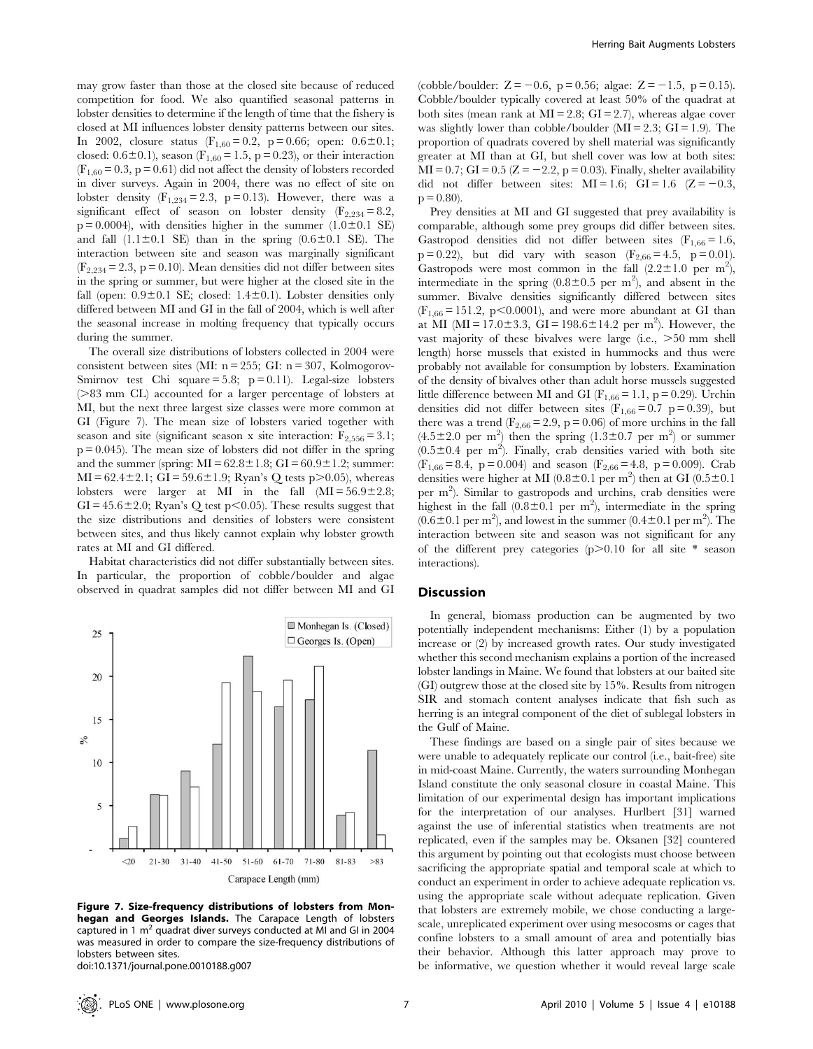may grow faster than those at the closed site because of reduced competition for food. We also quantified seasonal patterns in lobster densities to determine if the length of time that the fishery is closed at MI influences lobster density patterns between our sites. In 2002, closure status  $(F_{1,60} = 0.2, p = 0.66;$  open:  $0.6 \pm 0.1;$ closed: 0.6 $\pm$ 0.1), season (F<sub>1,60</sub> = 1.5, p = 0.23), or their interaction  $(F_{1,60} = 0.3, p = 0.61)$  did not affect the density of lobsters recorded in diver surveys. Again in 2004, there was no effect of site on lobster density  $(F_{1,234} = 2.3, p = 0.13)$ . However, there was a significant effect of season on lobster density ( $F_{2,234} = 8.2$ ,  $p = 0.0004$ , with densities higher in the summer  $(1.0 \pm 0.1$  SE) and fall  $(1.1\pm0.1$  SE) than in the spring  $(0.6\pm0.1$  SE). The interaction between site and season was marginally significant  $(F_{2,234} = 2.3, p = 0.10)$ . Mean densities did not differ between sites in the spring or summer, but were higher at the closed site in the fall (open:  $0.9\pm0.1$  SE; closed:  $1.4\pm0.1$ ). Lobster densities only differed between MI and GI in the fall of 2004, which is well after the seasonal increase in molting frequency that typically occurs during the summer.

The overall size distributions of lobsters collected in 2004 were consistent between sites (MI:  $n = 255$ ; GI:  $n = 307$ , Kolmogorov-Smirnov test Chi square = 5.8;  $p = 0.11$ ). Legal-size lobsters  $($ >83 mm CL) accounted for a larger percentage of lobsters at MI, but the next three largest size classes were more common at GI (Figure 7). The mean size of lobsters varied together with season and site (significant season x site interaction:  $F_{2,556} = 3.1$ ;  $p = 0.045$ ). The mean size of lobsters did not differ in the spring and the summer (spring:  $MI = 62.8 \pm 1.8$ ;  $GI = 60.9 \pm 1.2$ ; summer:  $MI = 62.4 \pm 2.1$ ;  $GI = 59.6 \pm 1.9$ ; Ryan's Q tests p $> 0.05$ ), whereas lobsters were larger at MI in the fall  $(MI = 56.9 \pm 2.8;$  $GI = 45.6 \pm 2.0$ ; Ryan's Q test p $< 0.05$ ). These results suggest that the size distributions and densities of lobsters were consistent between sites, and thus likely cannot explain why lobster growth rates at MI and GI differed.

Habitat characteristics did not differ substantially between sites. In particular, the proportion of cobble/boulder and algae observed in quadrat samples did not differ between MI and GI



Figure 7. Size-frequency distributions of lobsters from Monhegan and Georges Islands. The Carapace Length of lobsters captured in 1  $m<sup>2</sup>$  quadrat diver surveys conducted at MI and GI in 2004 was measured in order to compare the size-frequency distributions of lobsters between sites.

doi:10.1371/journal.pone.0010188.g007

(cobble/boulder:  $Z = -0.6$ , p = 0.56; algae:  $Z = -1.5$ , p = 0.15). Cobble/boulder typically covered at least 50% of the quadrat at both sites (mean rank at  $MI = 2.8$ ;  $GI = 2.7$ ), whereas algae cover was slightly lower than cobble/boulder  $(MI = 2.3; GI = 1.9)$ . The proportion of quadrats covered by shell material was significantly greater at MI than at GI, but shell cover was low at both sites:  $MI = 0.7$ ;  $GI = 0.5 (Z = -2.2, p = 0.03)$ . Finally, shelter availability did not differ between sites:  $MI = 1.6$ ;  $GI = 1.6$  (Z = -0.3,  $p = 0.80$ ).

Prey densities at MI and GI suggested that prey availability is comparable, although some prey groups did differ between sites. Gastropod densities did not differ between sites  $(F_{1,66} = 1.6,$  $p = 0.22$ ), but did vary with season (F<sub>2,66</sub> = 4.5, p = 0.01). Gastropods were most common in the fall  $(2.2 \pm 1.0$  per m<sup>2</sup>), intermediate in the spring  $(0.8 \pm 0.5$  per m<sup>2</sup>), and absent in the summer. Bivalve densities significantly differed between sites  $(F_{1,66} = 151.2, p < 0.0001)$ , and were more abundant at GI than at MI (MI =  $17.0 \pm 3.3$ , GI = 198.6 $\pm 14.2$  per m<sup>2</sup>). However, the vast majority of these bivalves were large  $(i.e., >50$  mm shell length) horse mussels that existed in hummocks and thus were probably not available for consumption by lobsters. Examination of the density of bivalves other than adult horse mussels suggested little difference between MI and GI ( $F_{1,66} = 1.1$ , p = 0.29). Urchin densities did not differ between sites  $(F_{1,66} = 0.7 \text{ p} = 0.39)$ , but there was a trend  $(F_{2,66} = 2.9, p = 0.06)$  of more urchins in the fall  $(4.5\pm2.0 \text{ per m}^2)$  then the spring  $(1.3\pm0.7 \text{ per m}^2)$  or summer  $(0.5\pm0.4$  per m<sup>2</sup>). Finally, crab densities varied with both site  $(F_{1,66} = 8.4, p = 0.004)$  and season  $(F_{2,66} = 4.8, p = 0.009)$ . Crab densities were higher at MI ( $0.8 \pm 0.1$  per m<sup>2</sup>) then at GI ( $0.5 \pm 0.1$ per m<sup>2</sup>). Similar to gastropods and urchins, crab densities were highest in the fall  $(0.8 \pm 0.1$  per m<sup>2</sup>), intermediate in the spring  $(0.6 \pm 0.1 \text{ per m}^2)$ , and lowest in the summer  $(0.4 \pm 0.1 \text{ per m}^2)$ . The interaction between site and season was not significant for any of the different prey categories  $(p>0.10$  for all site \* season interactions).

#### Discussion

In general, biomass production can be augmented by two potentially independent mechanisms: Either (1) by a population increase or (2) by increased growth rates. Our study investigated whether this second mechanism explains a portion of the increased lobster landings in Maine. We found that lobsters at our baited site (GI) outgrew those at the closed site by 15%. Results from nitrogen SIR and stomach content analyses indicate that fish such as herring is an integral component of the diet of sublegal lobsters in the Gulf of Maine.

These findings are based on a single pair of sites because we were unable to adequately replicate our control (i.e., bait-free) site in mid-coast Maine. Currently, the waters surrounding Monhegan Island constitute the only seasonal closure in coastal Maine. This limitation of our experimental design has important implications for the interpretation of our analyses. Hurlbert [31] warned against the use of inferential statistics when treatments are not replicated, even if the samples may be. Oksanen [32] countered this argument by pointing out that ecologists must choose between sacrificing the appropriate spatial and temporal scale at which to conduct an experiment in order to achieve adequate replication vs. using the appropriate scale without adequate replication. Given that lobsters are extremely mobile, we chose conducting a largescale, unreplicated experiment over using mesocosms or cages that confine lobsters to a small amount of area and potentially bias their behavior. Although this latter approach may prove to be informative, we question whether it would reveal large scale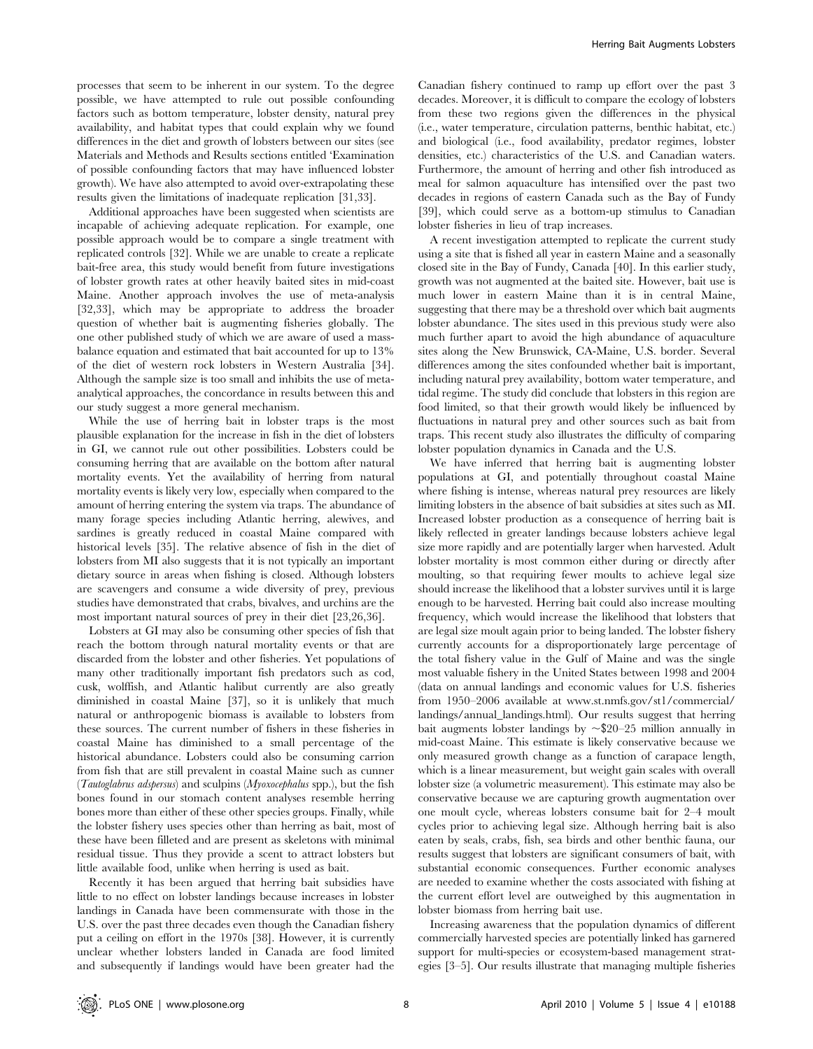processes that seem to be inherent in our system. To the degree possible, we have attempted to rule out possible confounding factors such as bottom temperature, lobster density, natural prey availability, and habitat types that could explain why we found differences in the diet and growth of lobsters between our sites (see Materials and Methods and Results sections entitled 'Examination of possible confounding factors that may have influenced lobster growth). We have also attempted to avoid over-extrapolating these results given the limitations of inadequate replication [31,33].

Additional approaches have been suggested when scientists are incapable of achieving adequate replication. For example, one possible approach would be to compare a single treatment with replicated controls [32]. While we are unable to create a replicate bait-free area, this study would benefit from future investigations of lobster growth rates at other heavily baited sites in mid-coast Maine. Another approach involves the use of meta-analysis [32,33], which may be appropriate to address the broader question of whether bait is augmenting fisheries globally. The one other published study of which we are aware of used a massbalance equation and estimated that bait accounted for up to 13% of the diet of western rock lobsters in Western Australia [34]. Although the sample size is too small and inhibits the use of metaanalytical approaches, the concordance in results between this and our study suggest a more general mechanism.

While the use of herring bait in lobster traps is the most plausible explanation for the increase in fish in the diet of lobsters in GI, we cannot rule out other possibilities. Lobsters could be consuming herring that are available on the bottom after natural mortality events. Yet the availability of herring from natural mortality events is likely very low, especially when compared to the amount of herring entering the system via traps. The abundance of many forage species including Atlantic herring, alewives, and sardines is greatly reduced in coastal Maine compared with historical levels [35]. The relative absence of fish in the diet of lobsters from MI also suggests that it is not typically an important dietary source in areas when fishing is closed. Although lobsters are scavengers and consume a wide diversity of prey, previous studies have demonstrated that crabs, bivalves, and urchins are the most important natural sources of prey in their diet [23,26,36].

Lobsters at GI may also be consuming other species of fish that reach the bottom through natural mortality events or that are discarded from the lobster and other fisheries. Yet populations of many other traditionally important fish predators such as cod, cusk, wolffish, and Atlantic halibut currently are also greatly diminished in coastal Maine [37], so it is unlikely that much natural or anthropogenic biomass is available to lobsters from these sources. The current number of fishers in these fisheries in coastal Maine has diminished to a small percentage of the historical abundance. Lobsters could also be consuming carrion from fish that are still prevalent in coastal Maine such as cunner (Tautoglabrus adspersus) and sculpins (Myoxocephalus spp.), but the fish bones found in our stomach content analyses resemble herring bones more than either of these other species groups. Finally, while the lobster fishery uses species other than herring as bait, most of these have been filleted and are present as skeletons with minimal residual tissue. Thus they provide a scent to attract lobsters but little available food, unlike when herring is used as bait.

Recently it has been argued that herring bait subsidies have little to no effect on lobster landings because increases in lobster landings in Canada have been commensurate with those in the U.S. over the past three decades even though the Canadian fishery put a ceiling on effort in the 1970s [38]. However, it is currently unclear whether lobsters landed in Canada are food limited and subsequently if landings would have been greater had the

Canadian fishery continued to ramp up effort over the past 3 decades. Moreover, it is difficult to compare the ecology of lobsters from these two regions given the differences in the physical (i.e., water temperature, circulation patterns, benthic habitat, etc.) and biological (i.e., food availability, predator regimes, lobster densities, etc.) characteristics of the U.S. and Canadian waters. Furthermore, the amount of herring and other fish introduced as meal for salmon aquaculture has intensified over the past two decades in regions of eastern Canada such as the Bay of Fundy [39], which could serve as a bottom-up stimulus to Canadian lobster fisheries in lieu of trap increases.

A recent investigation attempted to replicate the current study using a site that is fished all year in eastern Maine and a seasonally closed site in the Bay of Fundy, Canada [40]. In this earlier study, growth was not augmented at the baited site. However, bait use is much lower in eastern Maine than it is in central Maine, suggesting that there may be a threshold over which bait augments lobster abundance. The sites used in this previous study were also much further apart to avoid the high abundance of aquaculture sites along the New Brunswick, CA-Maine, U.S. border. Several differences among the sites confounded whether bait is important, including natural prey availability, bottom water temperature, and tidal regime. The study did conclude that lobsters in this region are food limited, so that their growth would likely be influenced by fluctuations in natural prey and other sources such as bait from traps. This recent study also illustrates the difficulty of comparing lobster population dynamics in Canada and the U.S.

We have inferred that herring bait is augmenting lobster populations at GI, and potentially throughout coastal Maine where fishing is intense, whereas natural prey resources are likely limiting lobsters in the absence of bait subsidies at sites such as MI. Increased lobster production as a consequence of herring bait is likely reflected in greater landings because lobsters achieve legal size more rapidly and are potentially larger when harvested. Adult lobster mortality is most common either during or directly after moulting, so that requiring fewer moults to achieve legal size should increase the likelihood that a lobster survives until it is large enough to be harvested. Herring bait could also increase moulting frequency, which would increase the likelihood that lobsters that are legal size moult again prior to being landed. The lobster fishery currently accounts for a disproportionately large percentage of the total fishery value in the Gulf of Maine and was the single most valuable fishery in the United States between 1998 and 2004 (data on annual landings and economic values for U.S. fisheries from 1950–2006 available at www.st.nmfs.gov/st1/commercial/ landings/annual\_landings.html). Our results suggest that herring bait augments lobster landings by  $\sim$ \$20–25 million annually in mid-coast Maine. This estimate is likely conservative because we only measured growth change as a function of carapace length, which is a linear measurement, but weight gain scales with overall lobster size (a volumetric measurement). This estimate may also be conservative because we are capturing growth augmentation over one moult cycle, whereas lobsters consume bait for 2–4 moult cycles prior to achieving legal size. Although herring bait is also eaten by seals, crabs, fish, sea birds and other benthic fauna, our results suggest that lobsters are significant consumers of bait, with substantial economic consequences. Further economic analyses are needed to examine whether the costs associated with fishing at the current effort level are outweighed by this augmentation in lobster biomass from herring bait use.

Increasing awareness that the population dynamics of different commercially harvested species are potentially linked has garnered support for multi-species or ecosystem-based management strategies [3–5]. Our results illustrate that managing multiple fisheries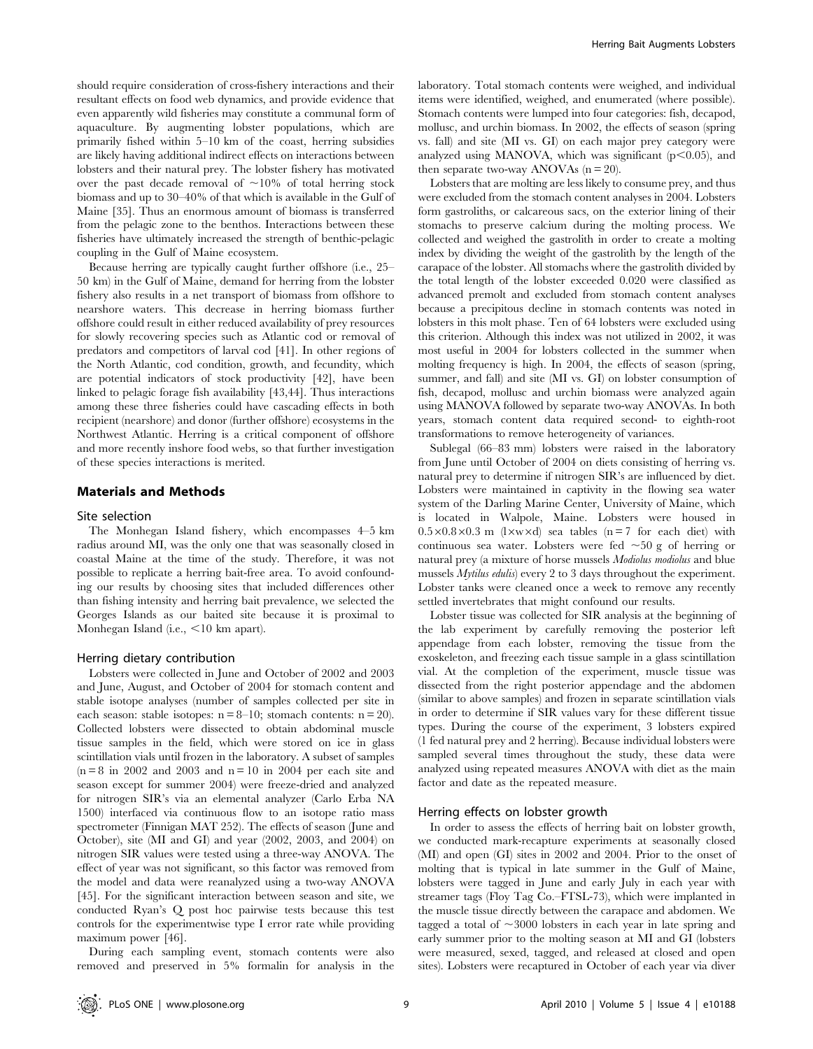should require consideration of cross-fishery interactions and their resultant effects on food web dynamics, and provide evidence that even apparently wild fisheries may constitute a communal form of aquaculture. By augmenting lobster populations, which are primarily fished within 5–10 km of the coast, herring subsidies are likely having additional indirect effects on interactions between lobsters and their natural prey. The lobster fishery has motivated over the past decade removal of  $\sim$ 10% of total herring stock biomass and up to 30–40% of that which is available in the Gulf of Maine [35]. Thus an enormous amount of biomass is transferred from the pelagic zone to the benthos. Interactions between these fisheries have ultimately increased the strength of benthic-pelagic coupling in the Gulf of Maine ecosystem.

Because herring are typically caught further offshore (i.e., 25– 50 km) in the Gulf of Maine, demand for herring from the lobster fishery also results in a net transport of biomass from offshore to nearshore waters. This decrease in herring biomass further offshore could result in either reduced availability of prey resources for slowly recovering species such as Atlantic cod or removal of predators and competitors of larval cod [41]. In other regions of the North Atlantic, cod condition, growth, and fecundity, which are potential indicators of stock productivity [42], have been linked to pelagic forage fish availability [43,44]. Thus interactions among these three fisheries could have cascading effects in both recipient (nearshore) and donor (further offshore) ecosystems in the Northwest Atlantic. Herring is a critical component of offshore and more recently inshore food webs, so that further investigation of these species interactions is merited.

#### Materials and Methods

#### Site selection

The Monhegan Island fishery, which encompasses 4–5 km radius around MI, was the only one that was seasonally closed in coastal Maine at the time of the study. Therefore, it was not possible to replicate a herring bait-free area. To avoid confounding our results by choosing sites that included differences other than fishing intensity and herring bait prevalence, we selected the Georges Islands as our baited site because it is proximal to Monhegan Island (i.e.,  $<$ 10 km apart).

#### Herring dietary contribution

Lobsters were collected in June and October of 2002 and 2003 and June, August, and October of 2004 for stomach content and stable isotope analyses (number of samples collected per site in each season: stable isotopes:  $n = 8-10$ ; stomach contents:  $n = 20$ ). Collected lobsters were dissected to obtain abdominal muscle tissue samples in the field, which were stored on ice in glass scintillation vials until frozen in the laboratory. A subset of samples  $(n=8 \text{ in } 2002 \text{ and } 2003 \text{ and } n=10 \text{ in } 2004 \text{ per each site and}$ season except for summer 2004) were freeze-dried and analyzed for nitrogen SIR's via an elemental analyzer (Carlo Erba NA 1500) interfaced via continuous flow to an isotope ratio mass spectrometer (Finnigan MAT 252). The effects of season (June and October), site (MI and GI) and year (2002, 2003, and 2004) on nitrogen SIR values were tested using a three-way ANOVA. The effect of year was not significant, so this factor was removed from the model and data were reanalyzed using a two-way ANOVA [45]. For the significant interaction between season and site, we conducted Ryan's Q post hoc pairwise tests because this test controls for the experimentwise type I error rate while providing maximum power [46].

During each sampling event, stomach contents were also removed and preserved in 5% formalin for analysis in the

laboratory. Total stomach contents were weighed, and individual items were identified, weighed, and enumerated (where possible). Stomach contents were lumped into four categories: fish, decapod, mollusc, and urchin biomass. In 2002, the effects of season (spring vs. fall) and site (MI vs. GI) on each major prey category were analyzed using MANOVA, which was significant  $(p<0.05)$ , and then separate two-way ANOVAs  $(n = 20)$ .

Lobsters that are molting are less likely to consume prey, and thus were excluded from the stomach content analyses in 2004. Lobsters form gastroliths, or calcareous sacs, on the exterior lining of their stomachs to preserve calcium during the molting process. We collected and weighed the gastrolith in order to create a molting index by dividing the weight of the gastrolith by the length of the carapace of the lobster. All stomachs where the gastrolith divided by the total length of the lobster exceeded 0.020 were classified as advanced premolt and excluded from stomach content analyses because a precipitous decline in stomach contents was noted in lobsters in this molt phase. Ten of 64 lobsters were excluded using this criterion. Although this index was not utilized in 2002, it was most useful in 2004 for lobsters collected in the summer when molting frequency is high. In 2004, the effects of season (spring, summer, and fall) and site (MI vs. GI) on lobster consumption of fish, decapod, mollusc and urchin biomass were analyzed again using MANOVA followed by separate two-way ANOVAs. In both years, stomach content data required second- to eighth-root transformations to remove heterogeneity of variances.

Sublegal (66–83 mm) lobsters were raised in the laboratory from June until October of 2004 on diets consisting of herring vs. natural prey to determine if nitrogen SIR's are influenced by diet. Lobsters were maintained in captivity in the flowing sea water system of the Darling Marine Center, University of Maine, which is located in Walpole, Maine. Lobsters were housed in  $0.5 \times 0.8 \times 0.3$  m (l $\times w \times d$ ) sea tables (n = 7 for each diet) with continuous sea water. Lobsters were fed  $\sim 50$  g of herring or natural prey (a mixture of horse mussels Modiolus modiolus and blue mussels Mytilus edulis) every 2 to 3 days throughout the experiment. Lobster tanks were cleaned once a week to remove any recently settled invertebrates that might confound our results.

Lobster tissue was collected for SIR analysis at the beginning of the lab experiment by carefully removing the posterior left appendage from each lobster, removing the tissue from the exoskeleton, and freezing each tissue sample in a glass scintillation vial. At the completion of the experiment, muscle tissue was dissected from the right posterior appendage and the abdomen (similar to above samples) and frozen in separate scintillation vials in order to determine if SIR values vary for these different tissue types. During the course of the experiment, 3 lobsters expired (1 fed natural prey and 2 herring). Because individual lobsters were sampled several times throughout the study, these data were analyzed using repeated measures ANOVA with diet as the main factor and date as the repeated measure.

#### Herring effects on lobster growth

In order to assess the effects of herring bait on lobster growth, we conducted mark-recapture experiments at seasonally closed (MI) and open (GI) sites in 2002 and 2004. Prior to the onset of molting that is typical in late summer in the Gulf of Maine, lobsters were tagged in June and early July in each year with streamer tags (Floy Tag Co.–FTSL-73), which were implanted in the muscle tissue directly between the carapace and abdomen. We tagged a total of  $\sim$ 3000 lobsters in each year in late spring and early summer prior to the molting season at MI and GI (lobsters were measured, sexed, tagged, and released at closed and open sites). Lobsters were recaptured in October of each year via diver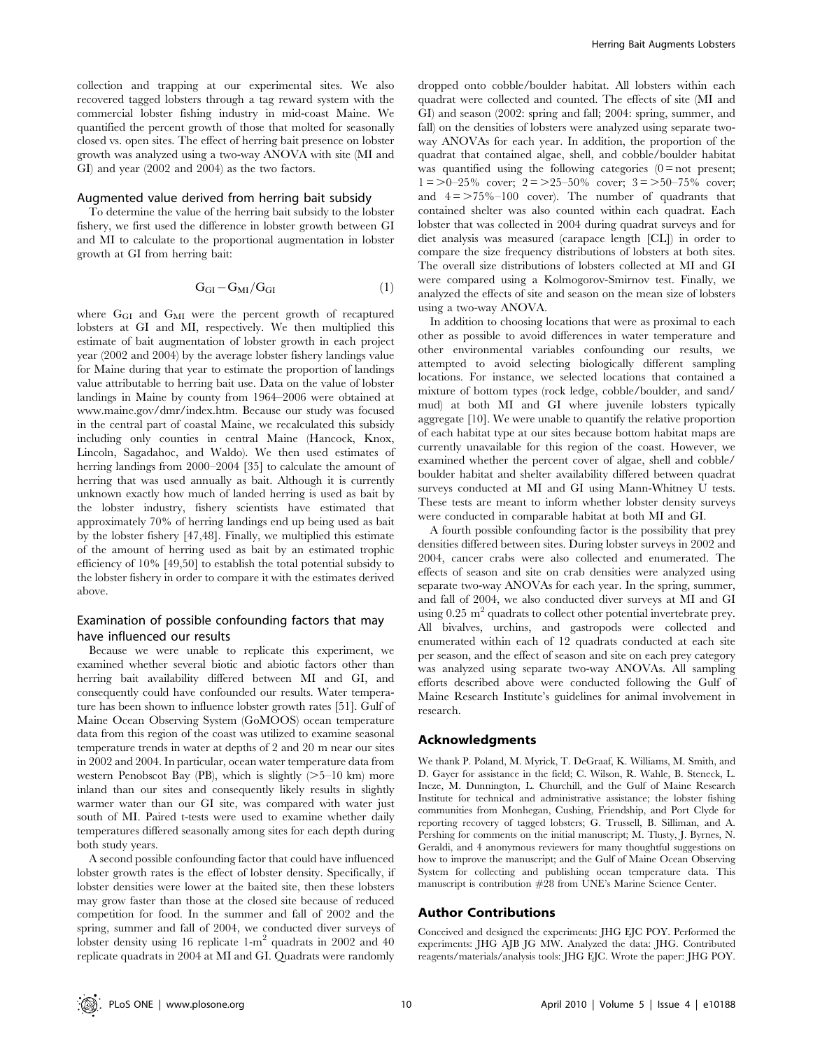collection and trapping at our experimental sites. We also recovered tagged lobsters through a tag reward system with the commercial lobster fishing industry in mid-coast Maine. We quantified the percent growth of those that molted for seasonally closed vs. open sites. The effect of herring bait presence on lobster growth was analyzed using a two-way ANOVA with site (MI and GI) and year (2002 and 2004) as the two factors.

#### Augmented value derived from herring bait subsidy

To determine the value of the herring bait subsidy to the lobster fishery, we first used the difference in lobster growth between GI and MI to calculate to the proportional augmentation in lobster growth at GI from herring bait:

$$
G_{GI} - G_{MI}/G_{GI} \tag{1}
$$

where  $G<sub>GI</sub>$  and  $G<sub>MI</sub>$  were the percent growth of recaptured lobsters at GI and MI, respectively. We then multiplied this estimate of bait augmentation of lobster growth in each project year (2002 and 2004) by the average lobster fishery landings value for Maine during that year to estimate the proportion of landings value attributable to herring bait use. Data on the value of lobster landings in Maine by county from 1964–2006 were obtained at www.maine.gov/dmr/index.htm. Because our study was focused in the central part of coastal Maine, we recalculated this subsidy including only counties in central Maine (Hancock, Knox, Lincoln, Sagadahoc, and Waldo). We then used estimates of herring landings from 2000–2004 [35] to calculate the amount of herring that was used annually as bait. Although it is currently unknown exactly how much of landed herring is used as bait by the lobster industry, fishery scientists have estimated that approximately 70% of herring landings end up being used as bait by the lobster fishery [47,48]. Finally, we multiplied this estimate of the amount of herring used as bait by an estimated trophic efficiency of 10% [49,50] to establish the total potential subsidy to the lobster fishery in order to compare it with the estimates derived above.

#### Examination of possible confounding factors that may have influenced our results

Because we were unable to replicate this experiment, we examined whether several biotic and abiotic factors other than herring bait availability differed between MI and GI, and consequently could have confounded our results. Water temperature has been shown to influence lobster growth rates [51]. Gulf of Maine Ocean Observing System (GoMOOS) ocean temperature data from this region of the coast was utilized to examine seasonal temperature trends in water at depths of 2 and 20 m near our sites in 2002 and 2004. In particular, ocean water temperature data from western Penobscot Bay (PB), which is slightly  $(>=5-10 \text{ km})$  more inland than our sites and consequently likely results in slightly warmer water than our GI site, was compared with water just south of MI. Paired t-tests were used to examine whether daily temperatures differed seasonally among sites for each depth during both study years.

A second possible confounding factor that could have influenced lobster growth rates is the effect of lobster density. Specifically, if lobster densities were lower at the baited site, then these lobsters may grow faster than those at the closed site because of reduced competition for food. In the summer and fall of 2002 and the spring, summer and fall of 2004, we conducted diver surveys of lobster density using 16 replicate 1-m<sup>2</sup> quadrats in 2002 and 40 replicate quadrats in 2004 at MI and GI. Quadrats were randomly

dropped onto cobble/boulder habitat. All lobsters within each quadrat were collected and counted. The effects of site (MI and GI) and season (2002: spring and fall; 2004: spring, summer, and fall) on the densities of lobsters were analyzed using separate twoway ANOVAs for each year. In addition, the proportion of the quadrat that contained algae, shell, and cobble/boulder habitat was quantified using the following categories  $(0 = not$  present;  $1 = 0$ –25% cover;  $2 = 25-50$ % cover;  $3 = 50-75$ % cover; and  $4 = 75\% - 100$  cover). The number of quadrants that contained shelter was also counted within each quadrat. Each lobster that was collected in 2004 during quadrat surveys and for diet analysis was measured (carapace length [CL]) in order to compare the size frequency distributions of lobsters at both sites. The overall size distributions of lobsters collected at MI and GI were compared using a Kolmogorov-Smirnov test. Finally, we analyzed the effects of site and season on the mean size of lobsters using a two-way ANOVA.

In addition to choosing locations that were as proximal to each other as possible to avoid differences in water temperature and other environmental variables confounding our results, we attempted to avoid selecting biologically different sampling locations. For instance, we selected locations that contained a mixture of bottom types (rock ledge, cobble/boulder, and sand/ mud) at both MI and GI where juvenile lobsters typically aggregate [10]. We were unable to quantify the relative proportion of each habitat type at our sites because bottom habitat maps are currently unavailable for this region of the coast. However, we examined whether the percent cover of algae, shell and cobble/ boulder habitat and shelter availability differed between quadrat surveys conducted at MI and GI using Mann-Whitney U tests. These tests are meant to inform whether lobster density surveys were conducted in comparable habitat at both MI and GI.

A fourth possible confounding factor is the possibility that prey densities differed between sites. During lobster surveys in 2002 and 2004, cancer crabs were also collected and enumerated. The effects of season and site on crab densities were analyzed using separate two-way ANOVAs for each year. In the spring, summer, and fall of 2004, we also conducted diver surveys at MI and GI using  $0.25 \text{ m}^2$  quadrats to collect other potential invertebrate prey. All bivalves, urchins, and gastropods were collected and enumerated within each of 12 quadrats conducted at each site per season, and the effect of season and site on each prey category was analyzed using separate two-way ANOVAs. All sampling efforts described above were conducted following the Gulf of Maine Research Institute's guidelines for animal involvement in research.

#### Acknowledgments

We thank P. Poland, M. Myrick, T. DeGraaf, K. Williams, M. Smith, and D. Gayer for assistance in the field; C. Wilson, R. Wahle, B. Steneck, L. Incze, M. Dunnington, L. Churchill, and the Gulf of Maine Research Institute for technical and administrative assistance; the lobster fishing communities from Monhegan, Cushing, Friendship, and Port Clyde for reporting recovery of tagged lobsters; G. Trussell, B. Silliman, and A. Pershing for comments on the initial manuscript; M. Tlusty, J. Byrnes, N. Geraldi, and 4 anonymous reviewers for many thoughtful suggestions on how to improve the manuscript; and the Gulf of Maine Ocean Observing System for collecting and publishing ocean temperature data. This manuscript is contribution #28 from UNE's Marine Science Center.

#### Author Contributions

Conceived and designed the experiments: JHG EJC POY. Performed the experiments: JHG AJB JG MW. Analyzed the data: JHG. Contributed reagents/materials/analysis tools: JHG EJC. Wrote the paper: JHG POY.